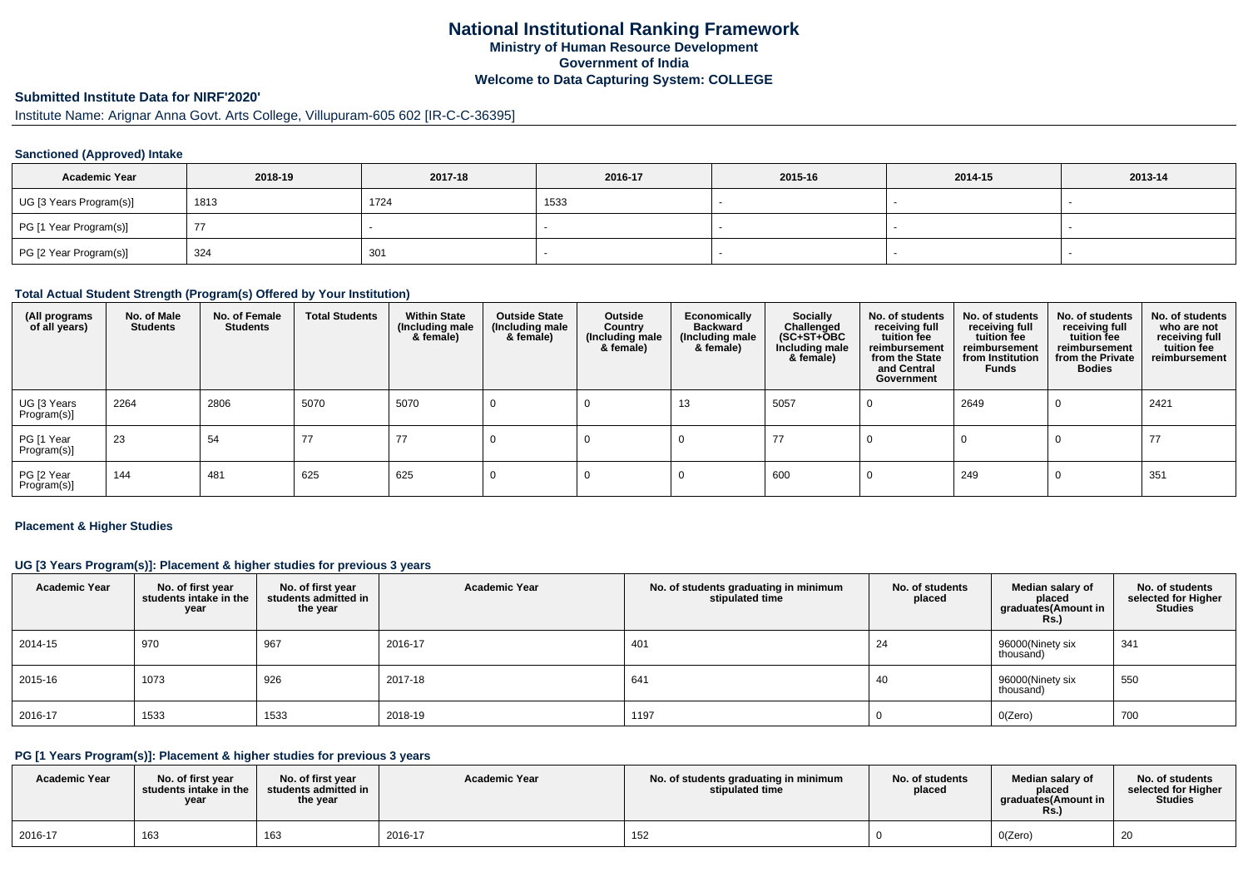# **National Institutional Ranking FrameworkMinistry of Human Resource DevelopmentGovernment of IndiaWelcome to Data Capturing System: COLLEGE**

#### **Submitted Institute Data for NIRF'2020'**

Institute Name: Arignar Anna Govt. Arts College, Villupuram-605 602 [IR-C-C-36395]

#### **Sanctioned (Approved) Intake**

| <b>Academic Year</b>    | 2018-19 | 2017-18 | 2016-17 | 2015-16 | 2014-15 | 2013-14 |
|-------------------------|---------|---------|---------|---------|---------|---------|
| UG [3 Years Program(s)] | 1813    | 1724    | 1533    |         |         |         |
| PG [1 Year Program(s)]  |         |         |         |         |         |         |
| PG [2 Year Program(s)]  | 324     | 301     |         |         |         |         |

#### **Total Actual Student Strength (Program(s) Offered by Your Institution)**

| (All programs<br>of all years) | No. of Male<br><b>Students</b> | No. of Female<br><b>Students</b> | <b>Total Students</b> | <b>Within State</b><br>(Including male<br>& female) | <b>Outside State</b><br>(Including male<br>& female) | Outside<br>Country<br>(Including male<br>& female) | Economically<br><b>Backward</b><br>(Including male<br>& female) | Socially<br>Challenged<br>$(SC+ST+\text{O}BC)$<br>Including male<br>& female) | No. of students<br>receiving full<br>tuition fee<br>reimbursement<br>from the State<br>and Central<br>Government | No. of students<br>receiving full<br>tuition fee<br>reimbursement<br>from Institution<br><b>Funds</b> | No. of students<br>receiving full<br>tuition fee<br>reimbursement<br>from the Private<br><b>Bodies</b> | No. of students<br>who are not<br>receiving full<br>tuition fee<br>reimbursement |
|--------------------------------|--------------------------------|----------------------------------|-----------------------|-----------------------------------------------------|------------------------------------------------------|----------------------------------------------------|-----------------------------------------------------------------|-------------------------------------------------------------------------------|------------------------------------------------------------------------------------------------------------------|-------------------------------------------------------------------------------------------------------|--------------------------------------------------------------------------------------------------------|----------------------------------------------------------------------------------|
| UG [3 Years<br>Program(s)]     | 2264                           | 2806                             | 5070                  | 5070                                                |                                                      |                                                    | 13                                                              | 5057                                                                          |                                                                                                                  | 2649                                                                                                  | 0                                                                                                      | 2421                                                                             |
| PG [1 Year<br>Program(s)]      | 23                             | 54                               | 77                    | 77                                                  |                                                      |                                                    |                                                                 | 77                                                                            |                                                                                                                  |                                                                                                       |                                                                                                        | 77                                                                               |
| PG [2 Year<br>Program(s)]      | 144                            | 481                              | 625                   | 625                                                 |                                                      |                                                    |                                                                 | 600                                                                           |                                                                                                                  | 249                                                                                                   |                                                                                                        | 351                                                                              |

#### **Placement & Higher Studies**

#### **UG [3 Years Program(s)]: Placement & higher studies for previous 3 years**

| <b>Academic Year</b> | No. of first year<br>students intake in the<br>year | No. of first year<br>students admitted in<br>the year | <b>Academic Year</b> | No. of students graduating in minimum<br>stipulated time | No. of students<br>placed | Median salary of<br>placed<br>graduates(Amount in<br><b>Rs.)</b> | No. of students<br>selected for Higher<br><b>Studies</b> |
|----------------------|-----------------------------------------------------|-------------------------------------------------------|----------------------|----------------------------------------------------------|---------------------------|------------------------------------------------------------------|----------------------------------------------------------|
| 2014-15              | 970                                                 | 967                                                   | 2016-17              | 401                                                      | 24                        | 96000(Ninety six<br>thousand)                                    | 341                                                      |
| 2015-16              | 1073                                                | 926                                                   | 2017-18              | 641                                                      | 40                        | 96000(Ninety six<br>thousand)                                    | 550                                                      |
| 2016-17              | 1533                                                | 1533                                                  | 2018-19              | 1197                                                     |                           | O(Zero)                                                          | 700                                                      |

#### **PG [1 Years Program(s)]: Placement & higher studies for previous 3 years**

| <b>Academic Year</b> | No. of first vear<br>students intake in the<br>year | No. of first year<br>students admitted in<br>the year | <b>Academic Year</b> | No. of students graduating in minimum<br>stipulated time | No. of students<br>placed | Median salary of<br>placed<br>araduates(Amount in<br>KS. | No. of students<br>selected for Higher<br><b>Studies</b> |
|----------------------|-----------------------------------------------------|-------------------------------------------------------|----------------------|----------------------------------------------------------|---------------------------|----------------------------------------------------------|----------------------------------------------------------|
| 2016-17              | 163                                                 | 163                                                   | 2016-17              | 152                                                      |                           | O(Zero)                                                  | 20                                                       |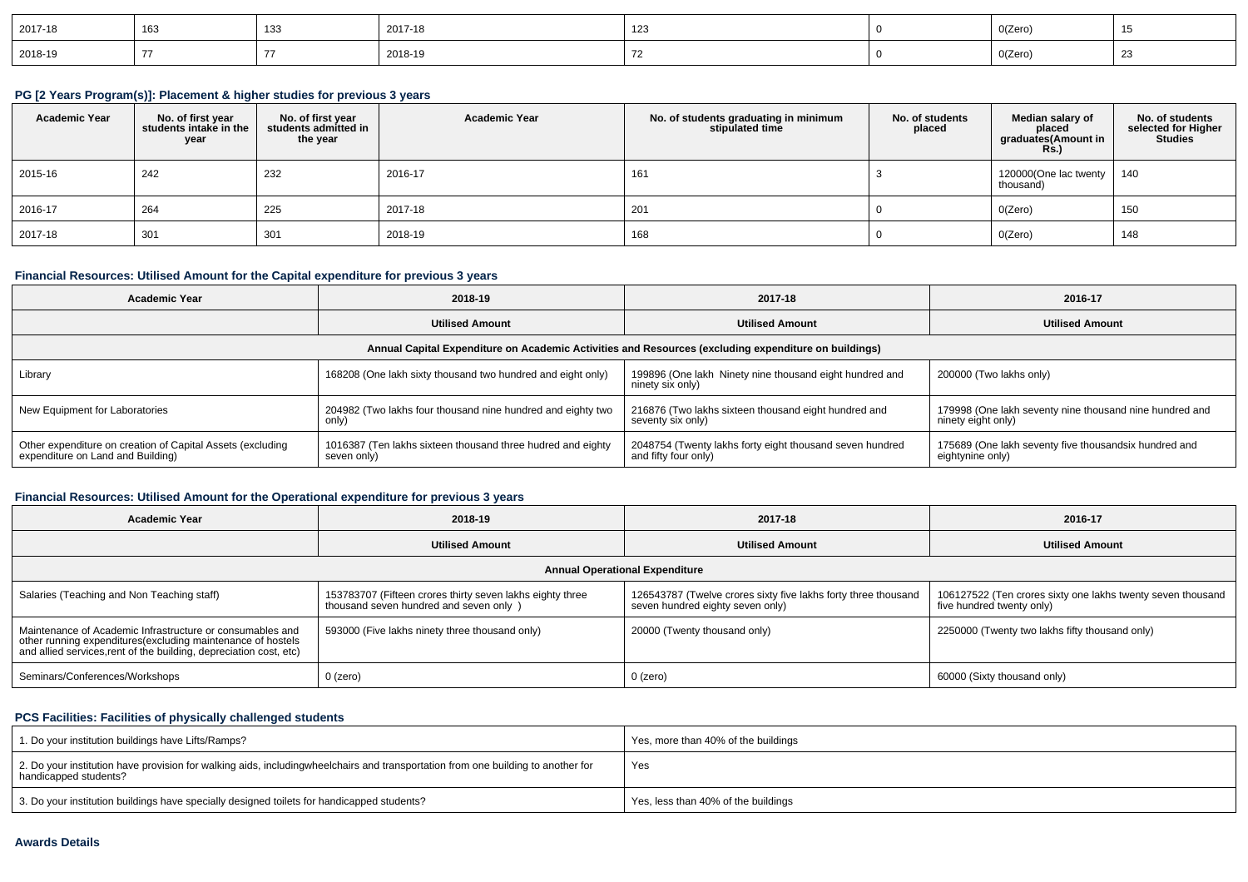| 2017-18 | 163 | 133 | 2017-18 | 10 <sup>2</sup> | O(Zero) |        |
|---------|-----|-----|---------|-----------------|---------|--------|
| 2018-19 |     |     | 2018-19 |                 | O(Zero) | $\sim$ |

#### **PG [2 Years Program(s)]: Placement & higher studies for previous 3 years**

| <b>Academic Year</b> | No. of first year<br>students intake in the<br>year | No. of first year<br>students admitted in<br>the year | <b>Academic Year</b> | No. of students graduating in minimum<br>stipulated time | No. of students<br>placed | Median salary of<br>placed<br>graduates(Amount in<br><b>Rs.)</b> | No. of students<br>selected for Higher<br><b>Studies</b> |
|----------------------|-----------------------------------------------------|-------------------------------------------------------|----------------------|----------------------------------------------------------|---------------------------|------------------------------------------------------------------|----------------------------------------------------------|
| 2015-16              | 242                                                 | 232                                                   | 2016-17              | 161                                                      |                           | 120000(One lac twenty   140<br>thousand)                         |                                                          |
| 2016-17              | 264                                                 | 225                                                   | 2017-18              | 201                                                      |                           | O(Zero)                                                          | 150                                                      |
| 2017-18              | 301                                                 | 301                                                   | 2018-19              | 168                                                      |                           | O(Zero)                                                          | 148                                                      |

### **Financial Resources: Utilised Amount for the Capital expenditure for previous 3 years**

| Academic Year                                                                                        | 2018-19                                                                    | 2017-18                                                                          | 2016-17                                                                       |  |  |  |  |
|------------------------------------------------------------------------------------------------------|----------------------------------------------------------------------------|----------------------------------------------------------------------------------|-------------------------------------------------------------------------------|--|--|--|--|
|                                                                                                      | <b>Utilised Amount</b>                                                     | <b>Utilised Amount</b>                                                           | <b>Utilised Amount</b>                                                        |  |  |  |  |
| Annual Capital Expenditure on Academic Activities and Resources (excluding expenditure on buildings) |                                                                            |                                                                                  |                                                                               |  |  |  |  |
| Library                                                                                              | 168208 (One lakh sixty thousand two hundred and eight only)                | 199896 (One lakh Ninety nine thousand eight hundred and<br>ninety six only)      | 200000 (Two lakhs only)                                                       |  |  |  |  |
| New Equipment for Laboratories                                                                       | 204982 (Two lakhs four thousand nine hundred and eighty two<br>only)       | 216876 (Two lakhs sixteen thousand eight hundred and<br>seventy six only)        | 179998 (One lakh seventy nine thousand nine hundred and<br>ninety eight only) |  |  |  |  |
| Other expenditure on creation of Capital Assets (excluding<br>expenditure on Land and Building)      | 1016387 (Ten lakhs sixteen thousand three hudred and eighty<br>seven only) | 2048754 (Twenty lakhs forty eight thousand seven hundred<br>and fifty four only) | 175689 (One lakh seventy five thousandsix hundred and<br>eightynine only)     |  |  |  |  |

### **Financial Resources: Utilised Amount for the Operational expenditure for previous 3 years**

| 2018-19<br><b>Academic Year</b>                                                                                                                                                                 |                                                                                                      | 2017-18                                                                                            | 2016-17                                                                                  |  |  |  |  |
|-------------------------------------------------------------------------------------------------------------------------------------------------------------------------------------------------|------------------------------------------------------------------------------------------------------|----------------------------------------------------------------------------------------------------|------------------------------------------------------------------------------------------|--|--|--|--|
|                                                                                                                                                                                                 | <b>Utilised Amount</b>                                                                               | <b>Utilised Amount</b>                                                                             | <b>Utilised Amount</b>                                                                   |  |  |  |  |
| <b>Annual Operational Expenditure</b>                                                                                                                                                           |                                                                                                      |                                                                                                    |                                                                                          |  |  |  |  |
| Salaries (Teaching and Non Teaching staff)                                                                                                                                                      | 153783707 (Fifteen crores thirty seven lakhs eighty three<br>thousand seven hundred and seven only ) | 126543787 (Twelve crores sixty five lakhs forty three thousand<br>seven hundred eighty seven only) | 106127522 (Ten crores sixty one lakhs twenty seven thousand<br>five hundred twenty only) |  |  |  |  |
| Maintenance of Academic Infrastructure or consumables and<br>other running expenditures (excluding maintenance of hostels<br>and allied services, rent of the building, depreciation cost, etc) | 593000 (Five lakhs ninety three thousand only)                                                       | 20000 (Twenty thousand only)                                                                       | 2250000 (Twenty two lakhs fifty thousand only)                                           |  |  |  |  |
| Seminars/Conferences/Workshops                                                                                                                                                                  | $0$ (zero)                                                                                           | $0$ (zero)                                                                                         | 60000 (Sixty thousand only)                                                              |  |  |  |  |

## **PCS Facilities: Facilities of physically challenged students**

| 1. Do your institution buildings have Lifts/Ramps?                                                                                                        | Yes, more than 40% of the buildings |
|-----------------------------------------------------------------------------------------------------------------------------------------------------------|-------------------------------------|
| 2. Do your institution have provision for walking aids, includingwheelchairs and transportation from one building to another for<br>handicapped students? | Yes                                 |
| 3. Do your institution buildings have specially designed toilets for handicapped students?                                                                | Yes, less than 40% of the buildings |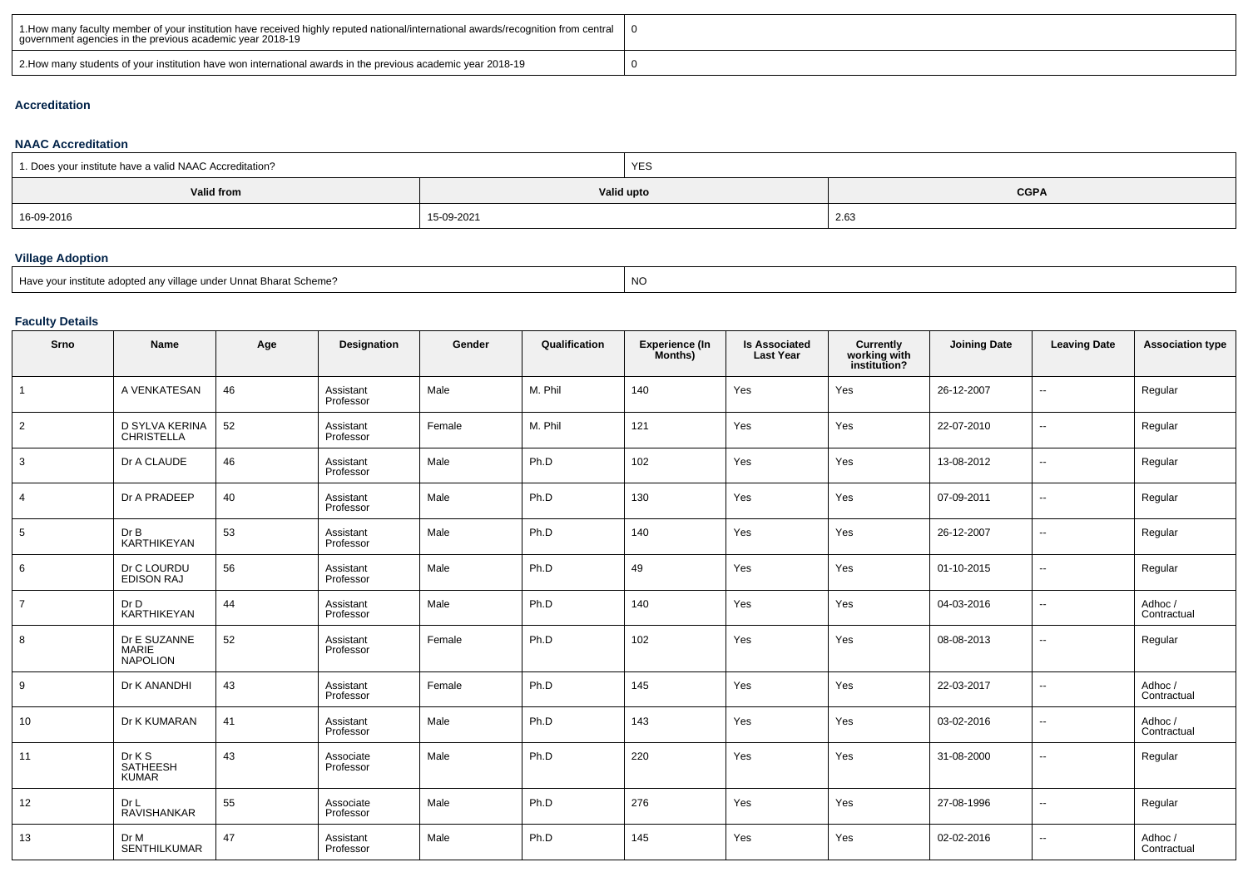| 1. How many faculty member of your institution have received highly reputed national/international awards/recognition from central<br>government agencies in the previous academic year 2018-19 |  |
|-------------------------------------------------------------------------------------------------------------------------------------------------------------------------------------------------|--|
| 2. Abow many students of your institution have won international awards in the previous academic year 2018-19                                                                                   |  |

#### **Accreditation**

#### **NAAC Accreditation**

| 1. Does your institute have a valid NAAC Accreditation? |            | YES |             |  |
|---------------------------------------------------------|------------|-----|-------------|--|
| Valid from                                              | Valid upto |     | <b>CGPA</b> |  |
| 16-09-2016                                              | 15-09-2021 |     | 2.63        |  |

# **Village Adoption**

| Have your institute adopted any village under Unnat Bharat Scheme? | <b>NO</b> |
|--------------------------------------------------------------------|-----------|
|                                                                    |           |

## **Faculty Details**

| Srno            | <b>Name</b>                                     | Age | Designation            | Gender | Qualification | Experience (In<br>Months) | <b>Is Associated</b><br><b>Last Year</b> | Currently<br>working with<br>institution? | <b>Joining Date</b> | <b>Leaving Date</b>      | <b>Association type</b> |
|-----------------|-------------------------------------------------|-----|------------------------|--------|---------------|---------------------------|------------------------------------------|-------------------------------------------|---------------------|--------------------------|-------------------------|
| $\mathbf{1}$    | A VENKATESAN                                    | 46  | Assistant<br>Professor | Male   | M. Phil       | 140                       | Yes                                      | Yes                                       | 26-12-2007          | $\overline{\phantom{a}}$ | Regular                 |
| $\overline{2}$  | D SYLVA KERINA<br>CHRISTELLA                    | 52  | Assistant<br>Professor | Female | M. Phil       | 121                       | Yes                                      | Yes                                       | 22-07-2010          | $\overline{\phantom{a}}$ | Regular                 |
| 3               | Dr A CLAUDE                                     | 46  | Assistant<br>Professor | Male   | Ph.D          | 102                       | Yes                                      | Yes                                       | 13-08-2012          | $\overline{\phantom{a}}$ | Regular                 |
| $\overline{4}$  | Dr A PRADEEP                                    | 40  | Assistant<br>Professor | Male   | Ph.D          | 130                       | Yes                                      | Yes                                       | 07-09-2011          | $\overline{\phantom{a}}$ | Regular                 |
| $5\overline{)}$ | Dr B<br>KARTHIKEYAN                             | 53  | Assistant<br>Professor | Male   | Ph.D          | 140                       | Yes                                      | Yes                                       | 26-12-2007          | $\overline{\phantom{a}}$ | Regular                 |
| 6               | Dr C LOURDU<br>EDISON RAJ                       | 56  | Assistant<br>Professor | Male   | Ph.D          | 49                        | Yes                                      | Yes                                       | 01-10-2015          | $\overline{\phantom{a}}$ | Regular                 |
| $\overline{7}$  | Dr D<br>KARTHIKEYAN                             | 44  | Assistant<br>Professor | Male   | Ph.D          | 140                       | Yes                                      | Yes                                       | 04-03-2016          | $\overline{\phantom{a}}$ | Adhoc/<br>Contractual   |
| 8               | Dr E SUZANNE<br><b>MARIE</b><br><b>NAPOLION</b> | 52  | Assistant<br>Professor | Female | Ph.D          | 102                       | Yes                                      | Yes                                       | 08-08-2013          | $\overline{\phantom{a}}$ | Regular                 |
| 9               | Dr K ANANDHI                                    | 43  | Assistant<br>Professor | Female | Ph.D          | 145                       | Yes                                      | Yes                                       | 22-03-2017          | $\overline{\phantom{a}}$ | Adhoc /<br>Contractual  |
| 10              | Dr K KUMARAN                                    | 41  | Assistant<br>Professor | Male   | Ph.D          | 143                       | Yes                                      | Yes                                       | 03-02-2016          | $\overline{\phantom{a}}$ | Adhoc/<br>Contractual   |
| 11              | Dr K S<br>SATHEESH<br><b>KUMAR</b>              | 43  | Associate<br>Professor | Male   | Ph.D          | 220                       | Yes                                      | Yes                                       | 31-08-2000          | $\overline{\phantom{a}}$ | Regular                 |
| 12              | Dr L<br><b>RAVISHANKAR</b>                      | 55  | Associate<br>Professor | Male   | Ph.D          | 276                       | Yes                                      | Yes                                       | 27-08-1996          | $\overline{\phantom{a}}$ | Regular                 |
| 13              | Dr M<br>SENTHILKUMAR                            | 47  | Assistant<br>Professor | Male   | Ph.D          | 145                       | Yes                                      | Yes                                       | 02-02-2016          | $\sim$                   | Adhoc/<br>Contractual   |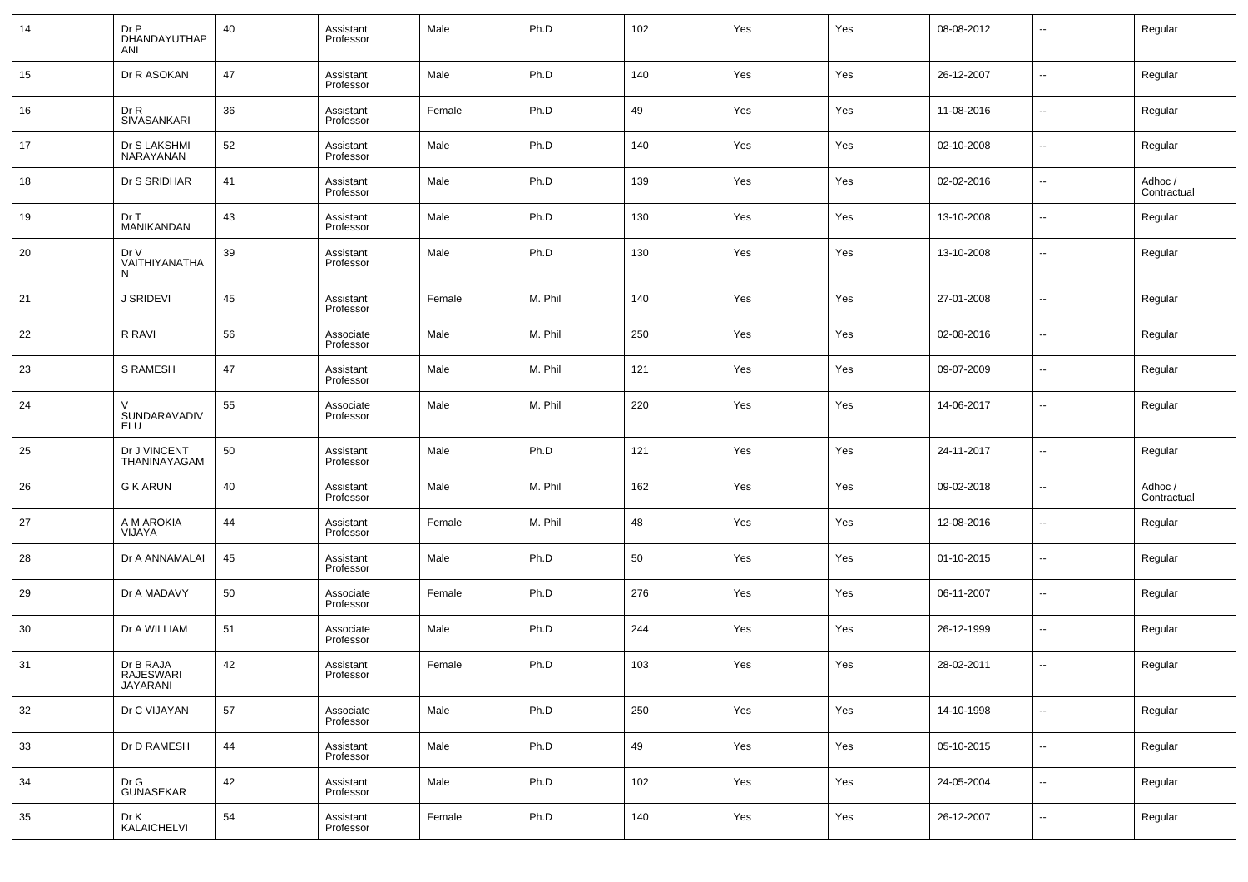| 14 | Dr P<br>DHANDAYUTHAP<br>ANI               | 40 | Assistant<br>Professor | Male   | Ph.D    | 102 | Yes | Yes | 08-08-2012 | $\overline{\phantom{a}}$ | Regular                |
|----|-------------------------------------------|----|------------------------|--------|---------|-----|-----|-----|------------|--------------------------|------------------------|
| 15 | Dr R ASOKAN                               | 47 | Assistant<br>Professor | Male   | Ph.D    | 140 | Yes | Yes | 26-12-2007 | $\sim$                   | Regular                |
| 16 | Dr R<br>SIVASANKARI                       | 36 | Assistant<br>Professor | Female | Ph.D    | 49  | Yes | Yes | 11-08-2016 | $\overline{\phantom{a}}$ | Regular                |
| 17 | Dr S LAKSHMI<br>NARAYANAN                 | 52 | Assistant<br>Professor | Male   | Ph.D    | 140 | Yes | Yes | 02-10-2008 | $\overline{\phantom{a}}$ | Regular                |
| 18 | Dr S SRIDHAR                              | 41 | Assistant<br>Professor | Male   | Ph.D    | 139 | Yes | Yes | 02-02-2016 | $\overline{\phantom{a}}$ | Adhoc /<br>Contractual |
| 19 | Dr T<br>MANIKANDAN                        | 43 | Assistant<br>Professor | Male   | Ph.D    | 130 | Yes | Yes | 13-10-2008 | $\overline{\phantom{a}}$ | Regular                |
| 20 | Dr V<br>VAITHIYANATHA<br>N                | 39 | Assistant<br>Professor | Male   | Ph.D    | 130 | Yes | Yes | 13-10-2008 | $\overline{\phantom{a}}$ | Regular                |
| 21 | J SRIDEVI                                 | 45 | Assistant<br>Professor | Female | M. Phil | 140 | Yes | Yes | 27-01-2008 | $\sim$                   | Regular                |
| 22 | R RAVI                                    | 56 | Associate<br>Professor | Male   | M. Phil | 250 | Yes | Yes | 02-08-2016 | $\overline{\phantom{a}}$ | Regular                |
| 23 | S RAMESH                                  | 47 | Assistant<br>Professor | Male   | M. Phil | 121 | Yes | Yes | 09-07-2009 | $\sim$                   | Regular                |
| 24 | $\vee$<br>SUNDARAVADIV<br>ELU             | 55 | Associate<br>Professor | Male   | M. Phil | 220 | Yes | Yes | 14-06-2017 | $\sim$                   | Regular                |
| 25 | Dr J VINCENT<br>THANINAYAGAM              | 50 | Assistant<br>Professor | Male   | Ph.D    | 121 | Yes | Yes | 24-11-2017 | $\overline{\phantom{a}}$ | Regular                |
| 26 | <b>G K ARUN</b>                           | 40 | Assistant<br>Professor | Male   | M. Phil | 162 | Yes | Yes | 09-02-2018 | $\overline{\phantom{a}}$ | Adhoc /<br>Contractual |
| 27 | A M AROKIA<br>VIJAYA                      | 44 | Assistant<br>Professor | Female | M. Phil | 48  | Yes | Yes | 12-08-2016 | $\overline{\phantom{a}}$ | Regular                |
| 28 | Dr A ANNAMALAI                            | 45 | Assistant<br>Professor | Male   | Ph.D    | 50  | Yes | Yes | 01-10-2015 | $\overline{\phantom{a}}$ | Regular                |
| 29 | Dr A MADAVY                               | 50 | Associate<br>Professor | Female | Ph.D    | 276 | Yes | Yes | 06-11-2007 | $\overline{\phantom{a}}$ | Regular                |
| 30 | Dr A WILLIAM                              | 51 | Associate<br>Professor | Male   | Ph.D    | 244 | Yes | Yes | 26-12-1999 | $\overline{\phantom{a}}$ | Regular                |
| 31 | Dr B RAJA<br><b>RAJESWARI</b><br>JAYARANI | 42 | Assistant<br>Professor | Female | Ph.D    | 103 | Yes | Yes | 28-02-2011 | $\overline{\phantom{a}}$ | Regular                |
| 32 | Dr C VIJAYAN                              | 57 | Associate<br>Professor | Male   | Ph.D    | 250 | Yes | Yes | 14-10-1998 | $\overline{\phantom{a}}$ | Regular                |
| 33 | Dr D RAMESH                               | 44 | Assistant<br>Professor | Male   | Ph.D    | 49  | Yes | Yes | 05-10-2015 | $\overline{\phantom{a}}$ | Regular                |
| 34 | Dr G<br><b>GUNASEKAR</b>                  | 42 | Assistant<br>Professor | Male   | Ph.D    | 102 | Yes | Yes | 24-05-2004 | $\overline{\phantom{a}}$ | Regular                |
| 35 | Dr K<br>KALAICHELVI                       | 54 | Assistant<br>Professor | Female | Ph.D    | 140 | Yes | Yes | 26-12-2007 | $\overline{\phantom{a}}$ | Regular                |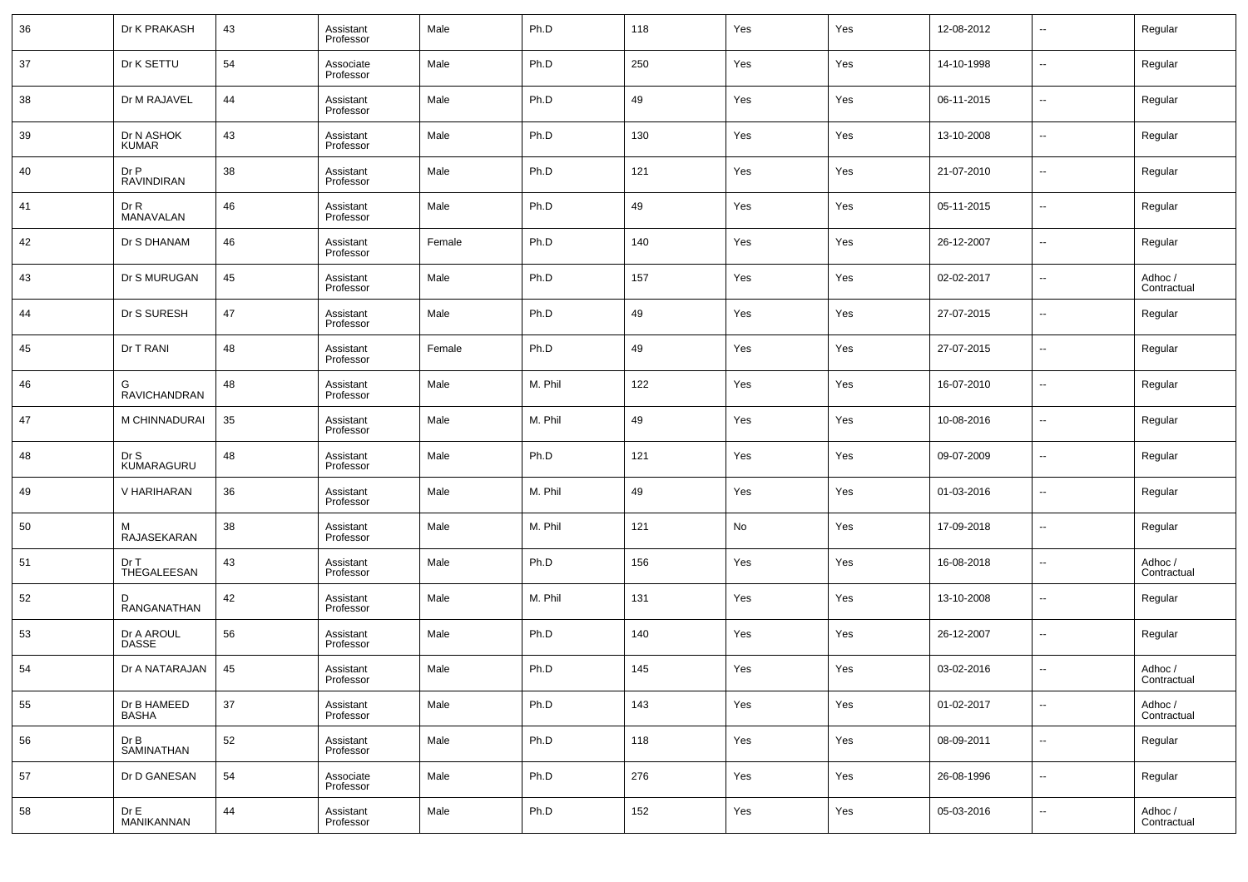| 36 | Dr K PRAKASH                | 43 | Assistant<br>Professor | Male   | Ph.D    | 118 | Yes | Yes | 12-08-2012 | --     | Regular                |
|----|-----------------------------|----|------------------------|--------|---------|-----|-----|-----|------------|--------|------------------------|
| 37 | Dr K SETTU                  | 54 | Associate<br>Professor | Male   | Ph.D    | 250 | Yes | Yes | 14-10-1998 | --     | Regular                |
| 38 | Dr M RAJAVEL                | 44 | Assistant<br>Professor | Male   | Ph.D    | 49  | Yes | Yes | 06-11-2015 | --     | Regular                |
| 39 | Dr N ASHOK<br><b>KUMAR</b>  | 43 | Assistant<br>Professor | Male   | Ph.D    | 130 | Yes | Yes | 13-10-2008 | --     | Regular                |
| 40 | Dr P<br><b>RAVINDIRAN</b>   | 38 | Assistant<br>Professor | Male   | Ph.D    | 121 | Yes | Yes | 21-07-2010 | --     | Regular                |
| 41 | Dr R<br>MANAVALAN           | 46 | Assistant<br>Professor | Male   | Ph.D    | 49  | Yes | Yes | 05-11-2015 | --     | Regular                |
| 42 | Dr S DHANAM                 | 46 | Assistant<br>Professor | Female | Ph.D    | 140 | Yes | Yes | 26-12-2007 | --     | Regular                |
| 43 | Dr S MURUGAN                | 45 | Assistant<br>Professor | Male   | Ph.D    | 157 | Yes | Yes | 02-02-2017 | --     | Adhoc /<br>Contractual |
| 44 | Dr S SURESH                 | 47 | Assistant<br>Professor | Male   | Ph.D    | 49  | Yes | Yes | 27-07-2015 | --     | Regular                |
| 45 | Dr T RANI                   | 48 | Assistant<br>Professor | Female | Ph.D    | 49  | Yes | Yes | 27-07-2015 | --     | Regular                |
| 46 | G<br><b>RAVICHANDRAN</b>    | 48 | Assistant<br>Professor | Male   | M. Phil | 122 | Yes | Yes | 16-07-2010 | --     | Regular                |
| 47 | M CHINNADURAI               | 35 | Assistant<br>Professor | Male   | M. Phil | 49  | Yes | Yes | 10-08-2016 | --     | Regular                |
| 48 | Dr S<br>KUMARAGURU          | 48 | Assistant<br>Professor | Male   | Ph.D    | 121 | Yes | Yes | 09-07-2009 | --     | Regular                |
| 49 | V HARIHARAN                 | 36 | Assistant<br>Professor | Male   | M. Phil | 49  | Yes | Yes | 01-03-2016 | --     | Regular                |
| 50 | м<br>RAJASEKARAN            | 38 | Assistant<br>Professor | Male   | M. Phil | 121 | No  | Yes | 17-09-2018 | --     | Regular                |
| 51 | Dr T<br>THEGALEESAN         | 43 | Assistant<br>Professor | Male   | Ph.D    | 156 | Yes | Yes | 16-08-2018 | --     | Adhoc /<br>Contractual |
| 52 | D<br>RANGANATHAN            | 42 | Assistant<br>Professor | Male   | M. Phil | 131 | Yes | Yes | 13-10-2008 | --     | Regular                |
| 53 | Dr A AROUL<br><b>DASSE</b>  | 56 | Assistant<br>Professor | Male   | Ph.D    | 140 | Yes | Yes | 26-12-2007 | --     | Regular                |
| 54 | Dr A NATARAJAN              | 45 | Assistant<br>Professor | Male   | Ph.D    | 145 | Yes | Yes | 03-02-2016 | --     | Adhoc /<br>Contractual |
| 55 | Dr B HAMEED<br><b>BASHA</b> | 37 | Assistant<br>Professor | Male   | Ph.D    | 143 | Yes | Yes | 01-02-2017 | $\sim$ | Adhoc /<br>Contractual |
| 56 | Dr B<br>SAMINATHAN          | 52 | Assistant<br>Professor | Male   | Ph.D    | 118 | Yes | Yes | 08-09-2011 | $\sim$ | Regular                |
| 57 | Dr D GANESAN                | 54 | Associate<br>Professor | Male   | Ph.D    | 276 | Yes | Yes | 26-08-1996 | $\sim$ | Regular                |
| 58 | Dr E<br>MANIKANNAN          | 44 | Assistant<br>Professor | Male   | Ph.D    | 152 | Yes | Yes | 05-03-2016 | $\sim$ | Adhoc /<br>Contractual |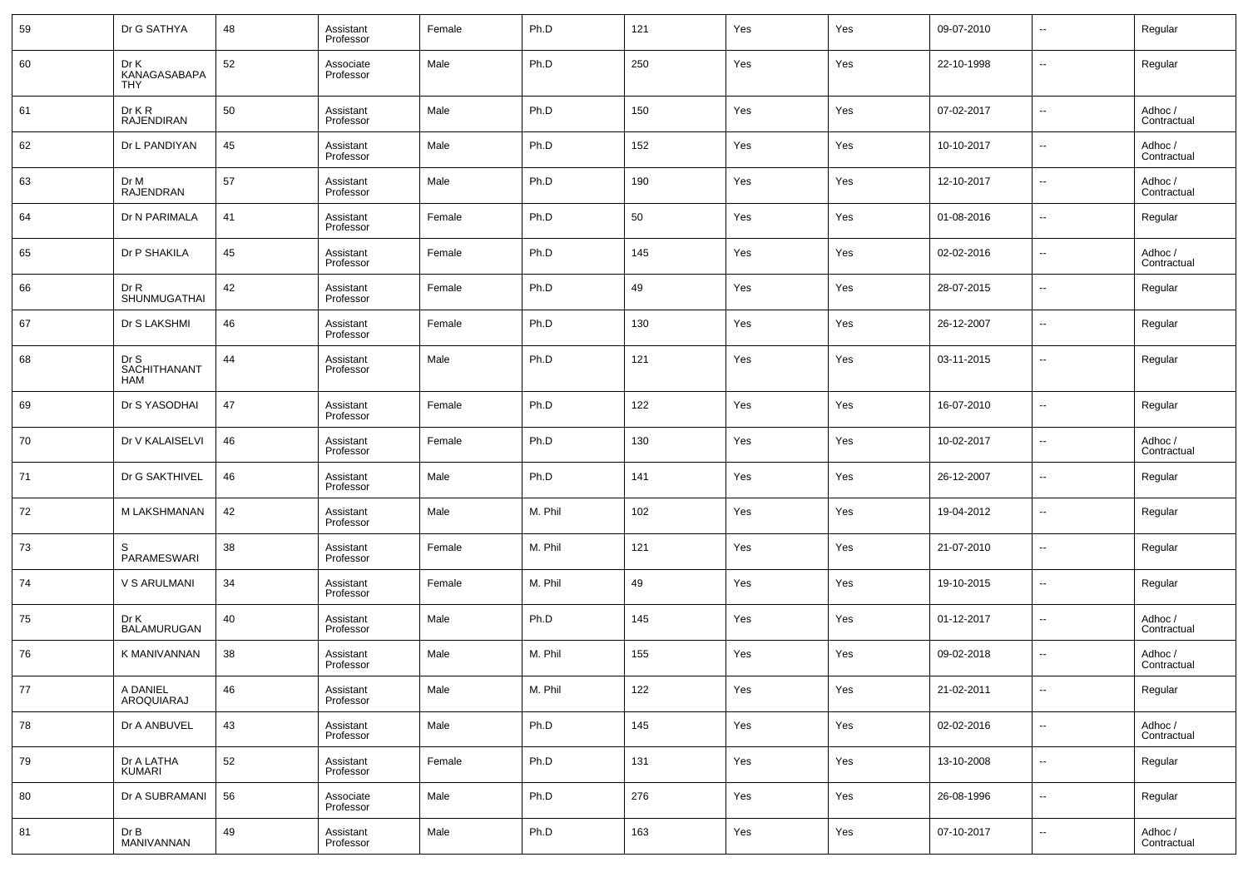| 59 | Dr G SATHYA                        | 48 | Assistant<br>Professor | Female | Ph.D    | 121 | Yes | Yes | 09-07-2010 | --     | Regular                |
|----|------------------------------------|----|------------------------|--------|---------|-----|-----|-----|------------|--------|------------------------|
| 60 | Dr K<br>KANAGASABAPA<br>THY        | 52 | Associate<br>Professor | Male   | Ph.D    | 250 | Yes | Yes | 22-10-1998 | --     | Regular                |
| 61 | $Dr$ K $R$<br><b>RAJENDIRAN</b>    | 50 | Assistant<br>Professor | Male   | Ph.D    | 150 | Yes | Yes | 07-02-2017 | н.     | Adhoc /<br>Contractual |
| 62 | Dr L PANDIYAN                      | 45 | Assistant<br>Professor | Male   | Ph.D    | 152 | Yes | Yes | 10-10-2017 | н.     | Adhoc /<br>Contractual |
| 63 | Dr M<br>RAJENDRAN                  | 57 | Assistant<br>Professor | Male   | Ph.D    | 190 | Yes | Yes | 12-10-2017 | н.     | Adhoc /<br>Contractual |
| 64 | Dr N PARIMALA                      | 41 | Assistant<br>Professor | Female | Ph.D    | 50  | Yes | Yes | 01-08-2016 | н.     | Regular                |
| 65 | Dr P SHAKILA                       | 45 | Assistant<br>Professor | Female | Ph.D    | 145 | Yes | Yes | 02-02-2016 | н.     | Adhoc /<br>Contractual |
| 66 | Dr R<br>SHUNMUGATHAI               | 42 | Assistant<br>Professor | Female | Ph.D    | 49  | Yes | Yes | 28-07-2015 | --     | Regular                |
| 67 | Dr S LAKSHMI                       | 46 | Assistant<br>Professor | Female | Ph.D    | 130 | Yes | Yes | 26-12-2007 | н.     | Regular                |
| 68 | Dr S<br>SACHITHANANT<br><b>HAM</b> | 44 | Assistant<br>Professor | Male   | Ph.D    | 121 | Yes | Yes | 03-11-2015 | --     | Regular                |
| 69 | Dr S YASODHAI                      | 47 | Assistant<br>Professor | Female | Ph.D    | 122 | Yes | Yes | 16-07-2010 | --     | Regular                |
| 70 | Dr V KALAISELVI                    | 46 | Assistant<br>Professor | Female | Ph.D    | 130 | Yes | Yes | 10-02-2017 | --     | Adhoc /<br>Contractual |
| 71 | Dr G SAKTHIVEL                     | 46 | Assistant<br>Professor | Male   | Ph.D    | 141 | Yes | Yes | 26-12-2007 | --     | Regular                |
| 72 | M LAKSHMANAN                       | 42 | Assistant<br>Professor | Male   | M. Phil | 102 | Yes | Yes | 19-04-2012 | --     | Regular                |
| 73 | S<br>PARAMESWARI                   | 38 | Assistant<br>Professor | Female | M. Phil | 121 | Yes | Yes | 21-07-2010 | --     | Regular                |
| 74 | V S ARULMANI                       | 34 | Assistant<br>Professor | Female | M. Phil | 49  | Yes | Yes | 19-10-2015 | --     | Regular                |
| 75 | Dr K<br>BALAMURUGAN                | 40 | Assistant<br>Professor | Male   | Ph.D    | 145 | Yes | Yes | 01-12-2017 | --     | Adhoc /<br>Contractual |
| 76 | K MANIVANNAN                       | 38 | Assistant<br>Professor | Male   | M. Phil | 155 | Yes | Yes | 09-02-2018 | --     | Adhoc /<br>Contractual |
| 77 | A DANIEL<br>AROQUIARAJ             | 46 | Assistant<br>Professor | Male   | M. Phil | 122 | Yes | Yes | 21-02-2011 | $\sim$ | Regular                |
| 78 | Dr A ANBUVEL                       | 43 | Assistant<br>Professor | Male   | Ph.D    | 145 | Yes | Yes | 02-02-2016 | $\sim$ | Adhoc /<br>Contractual |
| 79 | Dr A LATHA<br><b>KUMARI</b>        | 52 | Assistant<br>Professor | Female | Ph.D    | 131 | Yes | Yes | 13-10-2008 | $\sim$ | Regular                |
| 80 | Dr A SUBRAMANI                     | 56 | Associate<br>Professor | Male   | Ph.D    | 276 | Yes | Yes | 26-08-1996 | $\sim$ | Regular                |
| 81 | Dr B<br>MANIVANNAN                 | 49 | Assistant<br>Professor | Male   | Ph.D    | 163 | Yes | Yes | 07-10-2017 | $\sim$ | Adhoc /<br>Contractual |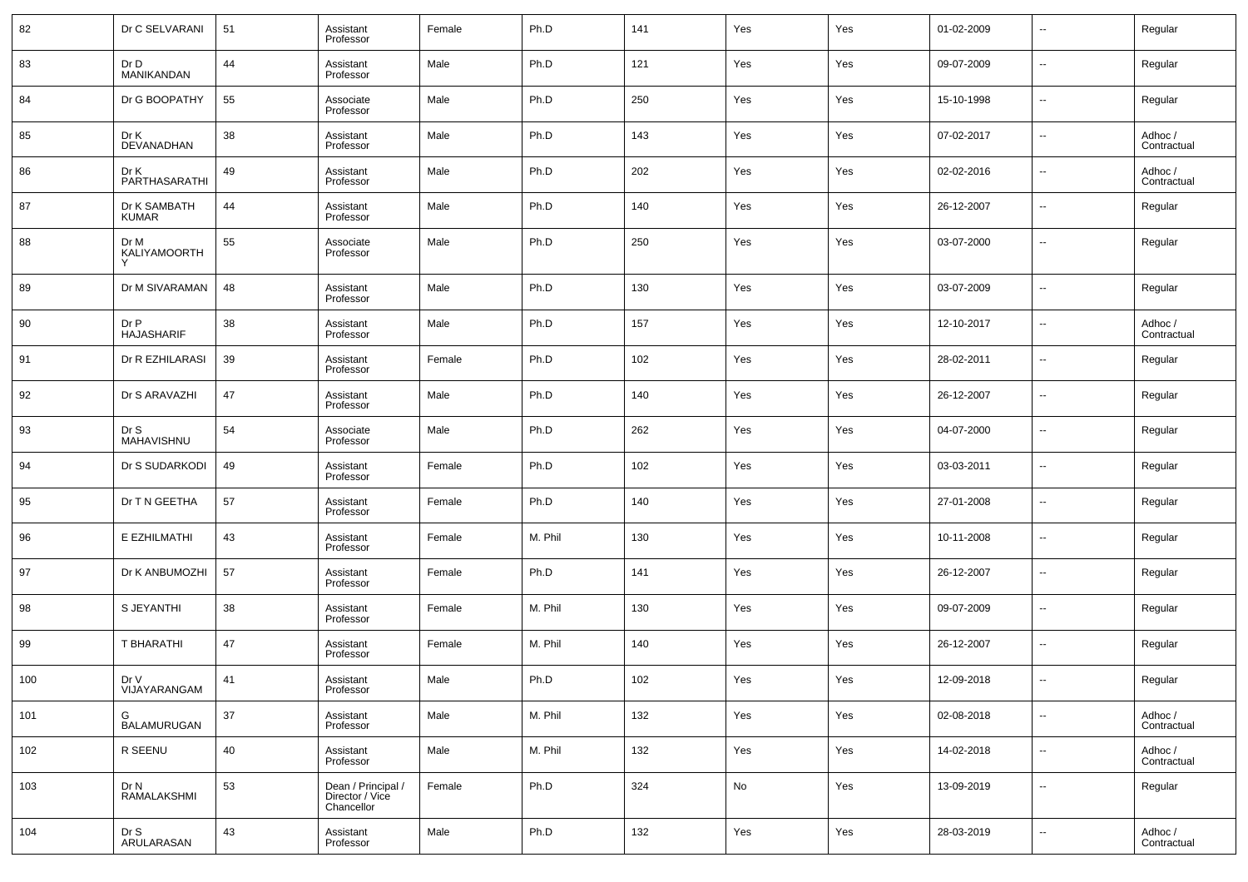| 82  | Dr C SELVARANI               | 51 | Assistant<br>Professor                              | Female | Ph.D    | 141 | Yes | Yes | 01-02-2009 | $\overline{\phantom{a}}$ | Regular                |
|-----|------------------------------|----|-----------------------------------------------------|--------|---------|-----|-----|-----|------------|--------------------------|------------------------|
| 83  | Dr D<br><b>MANIKANDAN</b>    | 44 | Assistant<br>Professor                              | Male   | Ph.D    | 121 | Yes | Yes | 09-07-2009 | $\overline{\phantom{a}}$ | Regular                |
| 84  | Dr G BOOPATHY                | 55 | Associate<br>Professor                              | Male   | Ph.D    | 250 | Yes | Yes | 15-10-1998 | $\overline{\phantom{a}}$ | Regular                |
| 85  | Dr K<br><b>DEVANADHAN</b>    | 38 | Assistant<br>Professor                              | Male   | Ph.D    | 143 | Yes | Yes | 07-02-2017 | $\overline{\phantom{a}}$ | Adhoc /<br>Contractual |
| 86  | Dr K<br>PARTHASARATHI        | 49 | Assistant<br>Professor                              | Male   | Ph.D    | 202 | Yes | Yes | 02-02-2016 | $\overline{\phantom{a}}$ | Adhoc /<br>Contractual |
| 87  | Dr K SAMBATH<br><b>KUMAR</b> | 44 | Assistant<br>Professor                              | Male   | Ph.D    | 140 | Yes | Yes | 26-12-2007 | $\overline{\phantom{a}}$ | Regular                |
| 88  | Dr M<br>KALIYAMOORTH         | 55 | Associate<br>Professor                              | Male   | Ph.D    | 250 | Yes | Yes | 03-07-2000 | $\sim$                   | Regular                |
| 89  | Dr M SIVARAMAN               | 48 | Assistant<br>Professor                              | Male   | Ph.D    | 130 | Yes | Yes | 03-07-2009 | $\overline{a}$           | Regular                |
| 90  | Dr P<br><b>HAJASHARIF</b>    | 38 | Assistant<br>Professor                              | Male   | Ph.D    | 157 | Yes | Yes | 12-10-2017 | $\overline{a}$           | Adhoc /<br>Contractual |
| 91  | Dr R EZHILARASI              | 39 | Assistant<br>Professor                              | Female | Ph.D    | 102 | Yes | Yes | 28-02-2011 | $\overline{a}$           | Regular                |
| 92  | Dr S ARAVAZHI                | 47 | Assistant<br>Professor                              | Male   | Ph.D    | 140 | Yes | Yes | 26-12-2007 | --                       | Regular                |
| 93  | Dr S<br>MAHAVISHNU           | 54 | Associate<br>Professor                              | Male   | Ph.D    | 262 | Yes | Yes | 04-07-2000 | $\overline{a}$           | Regular                |
| 94  | Dr S SUDARKODI               | 49 | Assistant<br>Professor                              | Female | Ph.D    | 102 | Yes | Yes | 03-03-2011 | --                       | Regular                |
| 95  | Dr T N GEETHA                | 57 | Assistant<br>Professor                              | Female | Ph.D    | 140 | Yes | Yes | 27-01-2008 | --                       | Regular                |
| 96  | E EZHILMATHI                 | 43 | Assistant<br>Professor                              | Female | M. Phil | 130 | Yes | Yes | 10-11-2008 | --                       | Regular                |
| 97  | Dr K ANBUMOZHI               | 57 | Assistant<br>Professor                              | Female | Ph.D    | 141 | Yes | Yes | 26-12-2007 | --                       | Regular                |
| 98  | S JEYANTHI                   | 38 | Assistant<br>Professor                              | Female | M. Phil | 130 | Yes | Yes | 09-07-2009 | --                       | Regular                |
| 99  | T BHARATHI                   | 47 | Assistant<br>Professor                              | Female | M. Phil | 140 | Yes | Yes | 26-12-2007 | --                       | Regular                |
| 100 | Dr V<br>VIJAYARANGAM         | 41 | Assistant<br>Professor                              | Male   | Ph.D    | 102 | Yes | Yes | 12-09-2018 |                          | Regular                |
| 101 | G<br><b>BALAMURUGAN</b>      | 37 | Assistant<br>Professor                              | Male   | M. Phil | 132 | Yes | Yes | 02-08-2018 | u,                       | Adhoc /<br>Contractual |
| 102 | R SEENU                      | 40 | Assistant<br>Professor                              | Male   | M. Phil | 132 | Yes | Yes | 14-02-2018 | u,                       | Adhoc /<br>Contractual |
| 103 | Dr N<br>RAMALAKSHMI          | 53 | Dean / Principal /<br>Director / Vice<br>Chancellor | Female | Ph.D    | 324 | No  | Yes | 13-09-2019 | $\overline{\phantom{a}}$ | Regular                |
| 104 | Dr S<br>ARULARASAN           | 43 | Assistant<br>Professor                              | Male   | Ph.D    | 132 | Yes | Yes | 28-03-2019 | $\overline{\phantom{a}}$ | Adhoc /<br>Contractual |